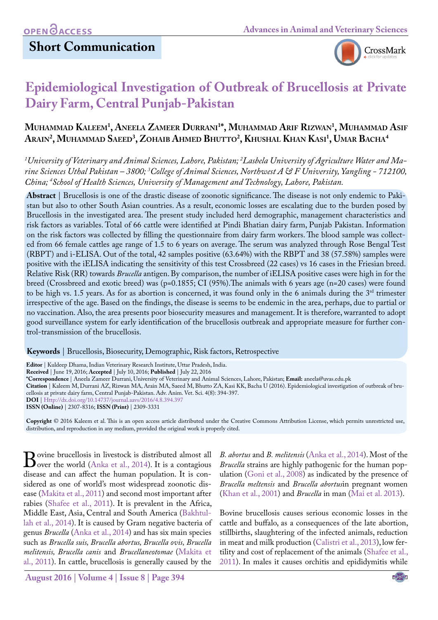

# **Epidemiological Investigation of Outbreak of Brucellosis at Private Dairy Farm, Central Punjab-Pakistan**

### **Muhammad Kaleem1 , Aneela Zameer Durrani1 \*, Muhammad Arif Rizwan1 , Muhammad Asif Arain2 , Muhammad Saeed3 , Zohaib Ahmed Bhutto2 , Khushal Khan Kasi1 , Umar Bacha4**

*1 University of Veterinary and Animal Sciences, Lahore, Pakistan; 2 Lasbela University of Agriculture Water and Marine Sciences Uthal Pakistan – 3800; 3 College of Animal Sciences, Northwest A & F University, Yangling - 712100, China; 4 School of Health Sciences, University of Management and Technology, Lahore, Pakistan.*

**Abstract** | Brucellosis is one of the drastic disease of zoonotic significance. The disease is not only endemic to Pakistan but also to other South Asian countries. As a result, economic losses are escalating due to the burden posed by Brucellosis in the investigated area. The present study included herd demographic, management characteristics and risk factors as variables. Total of 66 cattle were identified at Pindi Bhatian dairy farm, Punjab Pakistan. Information on the risk factors was collected by filling the questionnaire from dairy farm workers. The blood sample was collected from 66 female cattles age range of 1.5 to 6 years on average. The serum was analyzed through Rose Bengal Test (RBPT) and i-ELISA. Out of the total, 42 samples positive (63.64%) with the RBPT and 38 (57.58%) samples were positive with the iELISA indicating the sensitivity of this test Crossbreed (22 cases) vs 16 cases in the Friesian breed. Relative Risk (RR) towards *Brucella* antigen. By comparison, the number of iELISA positive cases were high in for the breed (Crossbreed and exotic breed) was (p=0.1855; CI (95%).The animals with 6 years age (n=20 cases) were found to be high vs. 1.5 years. As for as abortion is concerned, it was found only in the 6 animals during the  $3<sup>rd</sup>$  trimester irrespective of the age. Based on the findings, the disease is seems to be endemic in the area, perhaps, due to partial or no vaccination. Also, the area presents poor biosecurity measures and management. It is therefore, warranted to adopt good surveillance system for early identification of the brucellosis outbreak and appropriate measure for further control-transmission of the brucellosis.

**Keywords** | Brucellosis, Biosecurity, Demographic, Risk factors, Retrospective

**Editor** | Kuldeep Dhama, Indian Veterinary Research Institute, Uttar Pradesh, India.

**Received** | June 19, 2016; **Accepted** | July 10, 2016; **Published** | July 22, 2016

**\*Correspondence** | Aneela Zameer Durrani, University of Veterinary and Animal Sciences, Lahore, Pakistan; **Email:** aneela@uvas.edu.pk

**Citation** | Kaleem M, Durrani AZ, Rizwan MA, Arain MA, Saeed M, Bhutto ZA, Kasi KK, Bacha U (2016). Epidemiological investigation of outbreak of brucellosis at private dairy farm, Central Punjab-Pakistan. Adv. Anim. Vet. Sci. 4(8): 394-397.

**DOI** | <Http://dx.doi.org/10.14737/journal.aavs/2016/4.8.394.397>

**ISSN (Online)** | 2307-8316; **ISSN (Print)** | 2309-3331

**Copyright** © 2016 Kaleem et al. This is an open access article distributed under the Creative Commons Attribution License, which permits unrestricted use, distribution, and reproduction in any medium, provided the original work is properly cited.

Bovine brucellosi[s in livestock is di](#page-3-0)stributed almost all<br>disease and can affect the human population It is condisease and can affect the human population. It is considered as one of world's most widespread zoonotic disease [\(Makita et al., 2011](#page-3-1)) and second most important after rabies [\(Shafee et al., 2011\)](#page-3-2). It is prevalent in the Africa, Middle East, Asia, Central and South America ([Bakhtul](#page-3-3)[lah et al., 2014](#page-3-3)). It is caused by Gram negative bacteria of genus *Brucella* [\(Anka et al., 2014](#page-3-0)) and has six main species such as *Brucella suis, Brucella abortus, Brucella ovis, Brucella melitensis, Brucella canis* and *Brucellaneotomae* ([Makita et](#page-3-1) [al., 2011\)](#page-3-1). In cattle, brucellosis is generally caused by the

*B. abortus* and *B. melitensis* ([Anka et al., 2014](#page-3-0)). Most of the *Brucella* strains are highly pathogenic for the human population [\(Goni et al., 2008](#page-3-4)) as indicated by the presence of *Brucella meltensis* and *Brucella abortus*in pregnant women [\(Khan et al., 2001\)](#page-3-5) and *Brucella* in man [\(Mai et al. 2013\)](#page-3-6).

Bovine brucellosis causes serious economic losses in the cattle and buffalo, as a consequences of the late abortion, stillbirths, slaughtering of the infected animals, reduction in meat and milk production [\(Calistri et al., 2013\)](#page-3-7), low fertility and cost of replacement of the animals [\(Shafee et al.,](#page-3-2) [2011\)](#page-3-2). In males it causes orchitis and epididymitis while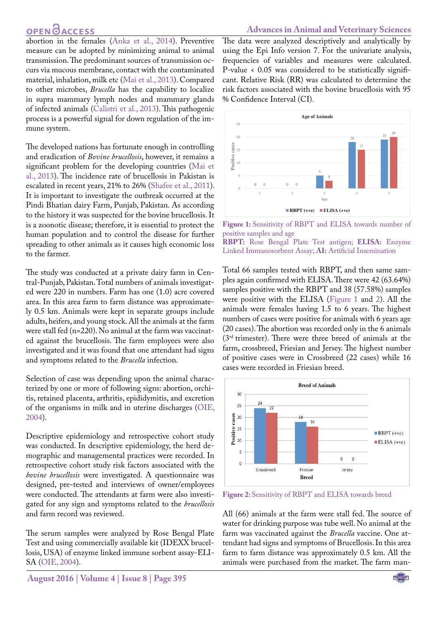### **OPEN**<sub>d</sub>

abortion in the females ([Anka et al., 2014\)](#page-3-0). Preventive measure can be adopted by minimizing animal to animal transmission. The predominant sources of transmission occurs via mucous membrane, contact with the contaminated material, inhalation, milk etc [\(Mai et al., 2013](#page-3-6)). Compared to other microbes, *Brucella* has the capability to localize in supra mammary lymph nodes and mammary glands of infected animals ([Calistri et al., 2013](#page-3-7)). This pathogenic process is a powerful signal for down regulation of the immune system.

The developed nations has fortunate enough in controlling and eradication of *Bovine brucellosis*, however, it remains a significant problem for the developing countries ([Mai et](#page-3-6) [al., 2013](#page-3-6)). The incidence rate of brucellosis in Pakistan is escalated in recent years, 21% to 26% ([Shafee et al., 2011\)](#page-3-2). It is important to investigate the outbreak occurred at the Pindi Bhatian dairy Farm, Punjab, Pakistan. As according to the history it was suspected for the bovine brucellosis. It is a zoonotic disease; therefore, it is essential to protect the human population and to control the disease for further spreading to other animals as it causes high economic loss to the farmer.

The study was conducted at a private dairy farm in Central-Punjab, Pakistan. Total numbers of animals investigated were 220 in numbers. Farm has one (1.0) acre covered area. In this area farm to farm distance was approximately 0.5 km. Animals were kept in separate groups include adults, heifers, and young stock. All the animals at the farm were stall fed (n=220). No animal at the farm was vaccinated against the brucellosis. The farm employees were also investigated and it was found that one attendant had signs and symptoms related to the *Brucella* infection.

Selection of case was depending upon the animal characterized by one or more of following signs: abortion, orchitis, retained placenta, arthritis, epididymitis, and excretion of the organisms in milk and in uterine discharges [\(OIE,](#page-3-8) [2004](#page-3-8)).

Descriptive epidemiology and retrospective cohort study was conducted. In descriptive epidemiology, the herd demographic and managemental practices were recorded. In retrospective cohort study risk factors associated with the *bovine brucellosis* were investigated. A questionnaire was designed, pre-tested and interviews of owner/employees were conducted. The attendants at farm were also investigated for any sign and symptoms related to the *brucellosis* and farm record was reviewed.

The serum samples were analyzed by Rose Bengal Plate Test and using commercially available kit (IDEXX brucellosis, USA) of enzyme linked immune sorbent assay-ELI-SA ([OIE, 2004\)](#page-3-8).

The data were analyzed descriptively and analytically by using the Epi Info version 7. For the univariate analysis, frequencies of variables and measures were calculated. P-value < 0.05 was considered to be statistically significant. Relative Risk (RR) was calculated to determine the risk factors associated with the bovine brucellosis with 95 % Confidence Interval (CI).



<span id="page-1-0"></span>**Figure 1:** Sensitivity of RBPT and ELISA towards number of positive samples and age

**RBPT:** Rose Bengal Plate Test antigen; **ELISA:** Enzyme Linked Immunosorbent Assay; **AI:** Artificial Insemination

Total 66 samples tested with RBPT, and then same samples again confirmed with ELISA. There were 42 (63.64%) samples positive with the RBPT and 38 (57.58%) samples were positive with the ELISA ([Figure 1](#page-1-0) and [2\)](#page-1-1). All the animals were females having 1.5 to 6 years. The highest numbers of cases were positive for animals with 6 years age (20 cases). The abortion was recorded only in the 6 animals (3rd trimester). There were three breed of animals at the farm, crossbreed, Friesian and Jersey. The highest number of positive cases were in Crossbreed (22 cases) while 16 cases were recorded in Friesian breed.



<span id="page-1-1"></span>**Figure 2:** Sensitivity of RBPT and ELISA towards breed

All (66) animals at the farm were stall fed. The source of water for drinking purpose was tube well. No animal at the farm was vaccinated against the *Brucella* vaccine. One attendant had signs and symptoms of Brucellosis. In this area farm to farm distance was approximately 0.5 km. All the animals were purchased from the market. The farm man-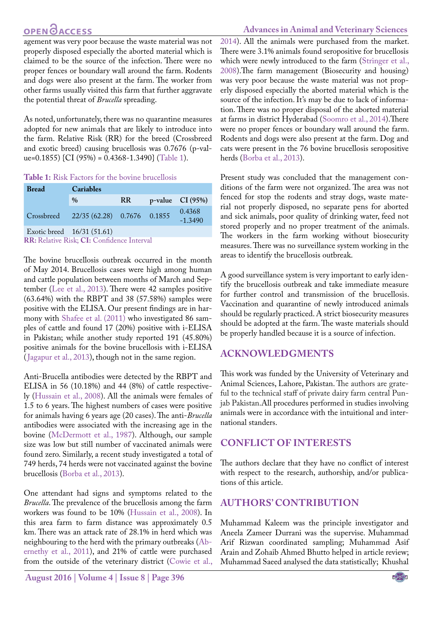## **OPEN**OACCESS

#### **Advances in Animal and Veterinary Sciences**

agement was very poor because the waste material was not properly disposed especially the aborted material which is claimed to be the source of the infection. There were no proper fences or boundary wall around the farm. Rodents and dogs were also present at the farm. The worker from other farms usually visited this farm that further aggravate the potential threat of *Brucella* spreading.

As noted, unfortunately, there was no quarantine measures adopted for new animals that are likely to introduce into the farm. Relative Risk (RR) for the breed (Crossbreed and exotic breed) causing brucellosis was 0.7676 (p-value=0.1855) {CI (95%) =  $0.4368 - 1.3490$ } ([Table 1\)](#page-2-0).

#### <span id="page-2-0"></span>**Table 1:** Risk Factors for the bovine brucellosis

| <b>Bread</b>                                      | Cariables                              |    |  |                     |
|---------------------------------------------------|----------------------------------------|----|--|---------------------|
|                                                   | $\frac{0}{0}$                          | RR |  | $p$ -value CI (95%) |
|                                                   | Crossbreed 22/35 (62.28) 0.7676 0.1855 |    |  | 0.4368<br>$-1.3490$ |
|                                                   | Exotic breed $16/31(51.61)$            |    |  |                     |
| <b>RR:</b> Relative Risk; CI: Confidence Interval |                                        |    |  |                     |

The bovine brucellosis outbreak occurred in the month of May 2014. Brucellosis cases were high among human and cattle population between months of March and September ([Lee et al., 2013\)](#page-3-9). There were 42 samples positive (63.64%) with the RBPT and 38 (57.58%) samples were positive with the ELISA. Our present findings are in harmony with [Shafee et al. \(2011\)](#page-3-2) who investigated 86 samples of cattle and found 17 (20%) positive with i-ELISA in Pakistan; while another study reported 191 (45.80%) positive animals for the bovine brucellosis with i-ELISA ([Jagapur et al., 2013\)](#page-3-10), though not in the same region.

Anti-Brucella antibodies were detected by the RBPT and ELISA in 56 (10.18%) and 44 (8%) of cattle respectively [\(Hussain et al., 2008\)](#page-3-11). All the animals were females of 1.5 to 6 years. The highest numbers of cases were positive for animals having 6 years age (20 cases). The anti-*Brucella* antibodies were associated with the increasing age in the bovine ([McDermott et al., 1987](#page-3-12)). Although, our sample size was low but still number of vaccinated animals were found zero. Similarly, a recent study investigated a total of 749 herds, 74 herds were not vaccinated against the bovine brucellosis ([Borba et al., 2013\)](#page-3-13).

One attendant had signs and symptoms related to the *Brucella*. The prevalence of the brucellosis among the farm workers was found to be 10% ([Hussain et al., 2008](#page-3-11)). In this area farm to farm distance was approximately 0.5 km. There was an attack rate of 28.1% in herd which was neighbouring to the herd with the primary outbreaks [\(Ab](#page-3-14)[ernethy et al., 2011\)](#page-3-14), and 21% of cattle were purchased from the outside of the veterinary district (Cowie et al.,

2014). All the animals were purchased from the market. There were 3.1% animals found seropositive for brucellosis which were newly introduced to the farm [\(Stringer et al.,](#page-3-15)  [2008\)](#page-3-15).The farm management (Biosecurity and housing) was very poor because the waste material was not properly disposed especially the aborted material which is the source of the infection. It's may be due to lack of information. There was no proper disposal of the aborted material at farms in district Hyderabad [\(Soomro et al., 2014](#page-3-16)).There were no proper fences or boundary wall around the farm. Rodents and dogs were also present at the farm. Dog and cats were present in the 76 bovine brucellosis seropositive herds ([Borba et al., 2013\)](#page-3-13).

Present study was concluded that the management conditions of the farm were not organized. The area was not fenced for stop the rodents and stray dogs, waste material not properly disposed, no separate pens for aborted and sick animals, poor quality of drinking water, feed not stored properly and no proper treatment of the animals. The workers in the farm working without biosecurity measures. There was no surveillance system working in the areas to identify the brucellosis outbreak.

A good surveillance system is very important to early identify the brucellosis outbreak and take immediate measure for further control and transmission of the brucellosis. Vaccination and quarantine of newly introduced animals should be regularly practiced. A strict biosecurity measures should be adopted at the farm. The waste materials should be properly handled because it is a source of infection.

#### **ACKNOWLEDGMENTS**

This work was funded by the University of Veterinary and Animal Sciences, Lahore, Pakistan. The authors are grateful to the technical staff of private dairy farm central Punjab Pakistan.All procedures performed in studies involving animals were in accordance with the intuitional and international standers.

### **CONFLICT OF INTERESTS**

The authors declare that they have no conflict of interest with respect to the research, authorship, and/or publications of this article.

#### **AUTHORS' CONTRIBUTION**

Muhammad Kaleem was the principle investigator and Aneela Zameer Durrani was the supervise. Muhammad Arif Rizwan coordinated sampling; Muhammad Asif Arain and Zohaib Ahmed Bhutto helped in article review; Muhammad Saeed analysed the data statistically; Khushal